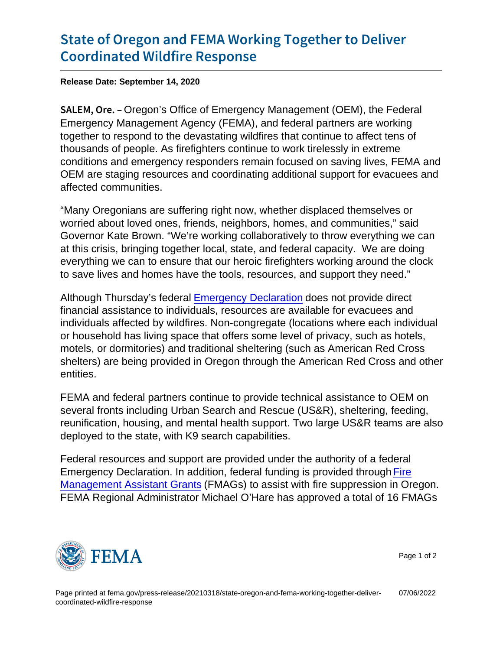## [State of Oregon and FEMA Worki](https://www.fema.gov/press-release/20210318/state-oregon-and-fema-working-together-deliver-coordinated-wildfire-response)ng Togeth [Coordinated Wildfir](https://www.fema.gov/press-release/20210318/state-oregon-and-fema-working-together-deliver-coordinated-wildfire-response)e Response

Release Date: September 14, 2020

SALEM, Oregon's Office of Emergency Management (OEM), the Federal Emergency Management Agency (FEMA), and federal partners are working together to respond to the devastating wildfires that continue to affect tens of thousands of people. As firefighters continue to work tirelessly in extreme conditions and emergency responders remain focused on saving lives, FEMA and OEM are staging resources and coordinating additional support for evacuees and affected communities.

"Many Oregonians are suffering right now, whether displaced themselves or worried about loved ones, friends, neighbors, homes, and communities," said Governor Kate Brown. "We're working collaboratively to throw everything we can at this crisis, bringing together local, state, and federal capacity. We are doing everything we can to ensure that our heroic firefighters working around the clock to save lives and homes have the tools, resources, and support they need."

Although Thursday's federal [Emergency Declaration](https://www.fema.gov/press-release/20200911/president-donald-j-trump-approves-emergency-disaster-declaration-oregon) does not provide direct financial assistance to individuals, resources are available for evacuees and individuals affected by wildfires. Non-congregate (locations where each individual or household has living space that offers some level of privacy, such as hotels, motels, or dormitories) and traditional sheltering (such as American Red Cross shelters) are being provided in Oregon through the American Red Cross and other entities.

FEMA and federal partners continue to provide technical assistance to OEM on several fronts including Urban Search and Rescue (US&R), sheltering, feeding, reunification, housing, and mental health support. Two large US&R teams are also deployed to the state, with K9 search capabilities.

Federal resources and support are provided under the authority of a federal Emergency Declaration. In addition, federal funding is provided through [Fire](https://www.fema.gov/assistance/public/fire-management-assistance) [Management Assistant Grants](https://www.fema.gov/assistance/public/fire-management-assistance) (FMAGs) to assist with fire suppression in Oregon. FEMA Regional Administrator Michael O'Hare has approved a total of 16 FMAGs



Page 1 of 2